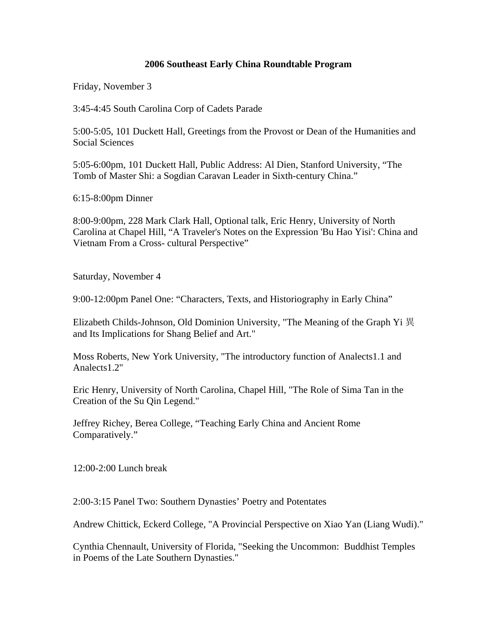## **2006 Southeast Early China Roundtable Program**

Friday, November 3

3:45-4:45 South Carolina Corp of Cadets Parade

5:00-5:05, 101 Duckett Hall, Greetings from the Provost or Dean of the Humanities and Social Sciences

5:05-6:00pm, 101 Duckett Hall, Public Address: Al Dien, Stanford University, "The Tomb of Master Shi: a Sogdian Caravan Leader in Sixth-century China."

6:15-8:00pm Dinner

8:00-9:00pm, 228 Mark Clark Hall, Optional talk, Eric Henry, University of North Carolina at Chapel Hill, "A Traveler's Notes on the Expression 'Bu Hao Yisi': China and Vietnam From a Cross- cultural Perspective"

Saturday, November 4

9:00-12:00pm Panel One: "Characters, Texts, and Historiography in Early China"

Elizabeth Childs-Johnson, Old Dominion University, "The Meaning of the Graph Yi 異 and Its Implications for Shang Belief and Art."

Moss Roberts, New York University, "The introductory function of Analects1.1 and Analects1.2"

Eric Henry, University of North Carolina, Chapel Hill, "The Role of Sima Tan in the Creation of the Su Qin Legend."

Jeffrey Richey, Berea College, "Teaching Early China and Ancient Rome Comparatively."

12:00-2:00 Lunch break

2:00-3:15 Panel Two: Southern Dynasties' Poetry and Potentates

Andrew Chittick, Eckerd College, "A Provincial Perspective on Xiao Yan (Liang Wudi)."

Cynthia Chennault, University of Florida, "Seeking the Uncommon: Buddhist Temples in Poems of the Late Southern Dynasties."